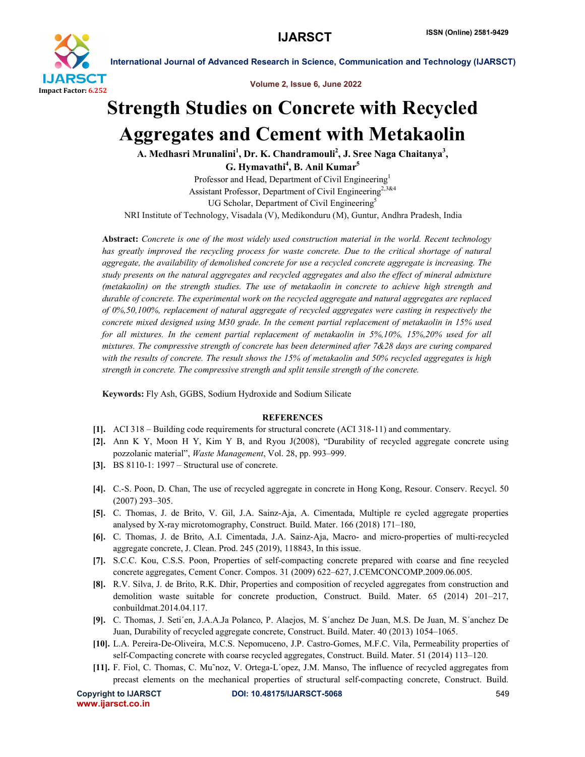

International Journal of Advanced Research in Science, Communication and Technology (IJARSCT)

Volume 2, Issue 6, June 2022

## Strength Studies on Concrete with Recycled Aggregates and Cement with Metakaolin

A. Medhasri Mrunalini<sup>1</sup>, Dr. K. Chandramouli<sup>2</sup>, J. Sree Naga Chaitanya<sup>3</sup>, G. Hymavathi<sup>4</sup>, B. Anil Kumar<sup>5</sup>

Professor and Head, Department of Civil Engineering<sup>1</sup> Assistant Professor, Department of Civil Engineering<sup>2,3&4</sup> UG Scholar, Department of Civil Engineering<sup>5</sup> NRI Institute of Technology, Visadala (V), Medikonduru (M), Guntur, Andhra Pradesh, India

Abstract: *Concrete is one of the most widely used construction material in the world. Recent technology has greatly improved the recycling process for waste concrete. Due to the critical shortage of natural aggregate, the availability of demolished concrete for use a recycled concrete aggregate is increasing. The study presents on the natural aggregates and recycled aggregates and also the effect of mineral admixture (metakaolin) on the strength studies. The use of metakaolin in concrete to achieve high strength and durable of concrete. The experimental work on the recycled aggregate and natural aggregates are replaced of 0%,50,100%, replacement of natural aggregate of recycled aggregates were casting in respectively the concrete mixed designed using M30 grade. In the cement partial replacement of metakaolin in 15% used for all mixtures. In the cement partial replacement of metakaolin in 5%,10%, 15%,20% used for all mixtures. The compressive strength of concrete has been determined after 7&28 days are curing compared with the results of concrete. The result shows the 15% of metakaolin and 50% recycled aggregates is high strength in concrete. The compressive strength and split tensile strength of the concrete.*

Keywords: Fly Ash, GGBS, Sodium Hydroxide and Sodium Silicate

## **REFERENCES**

- [1]. ACI 318 Building code requirements for structural concrete (ACI 318-11) and commentary.
- [2]. Ann K Y, Moon H Y, Kim Y B, and Ryou J(2008), "Durability of recycled aggregate concrete using pozzolanic material", *Waste Management*, Vol. 28, pp. 993–999.
- [3]. BS 8110-1: 1997 Structural use of concrete.
- [4]. C.-S. Poon, D. Chan, The use of recycled aggregate in concrete in Hong Kong, Resour. Conserv. Recycl. 50 (2007) 293–305.
- [5]. C. Thomas, J. de Brito, V. Gil, J.A. Sainz-Aja, A. Cimentada, Multiple re cycled aggregate properties analysed by X-ray microtomography, Construct. Build. Mater. 166 (2018) 171–180,
- [6]. C. Thomas, J. de Brito, A.I. Cimentada, J.A. Sainz-Aja, Macro- and micro-properties of multi-recycled aggregate concrete, J. Clean. Prod. 245 (2019), 118843, In this issue.
- [7]. S.C.C. Kou, C.S.S. Poon, Properties of self-compacting concrete prepared with coarse and fine recycled concrete aggregates, Cement Concr. Compos. 31 (2009) 622–627, J.CEMCONCOMP.2009.06.005.
- [8]. R.V. Silva, J. de Brito, R.K. Dhir, Properties and composition of recycled aggregates from construction and demolition waste suitable for concrete production, Construct. Build. Mater. 65 (2014) 201–217, conbuildmat.2014.04.117.
- [9]. C. Thomas, J. Seti´en, J.A.A.Ja Polanco, P. Alaejos, M. S´anchez De Juan, M.S. De Juan, M. S´anchez De Juan, Durability of recycled aggregate concrete, Construct. Build. Mater. 40 (2013) 1054–1065.
- [10]. L.A. Pereira-De-Oliveira, M.C.S. Nepomuceno, J.P. Castro-Gomes, M.F.C. Vila, Permeability properties of self-Compacting concrete with coarse recycled aggregates, Construct. Build. Mater. 51 (2014) 113–120.
- [11]. F. Fiol, C. Thomas, C. Mu˜noz, V. Ortega-L´opez, J.M. Manso, The influence of recycled aggregates from precast elements on the mechanical properties of structural self-compacting concrete, Construct. Build.

www.ijarsct.co.in